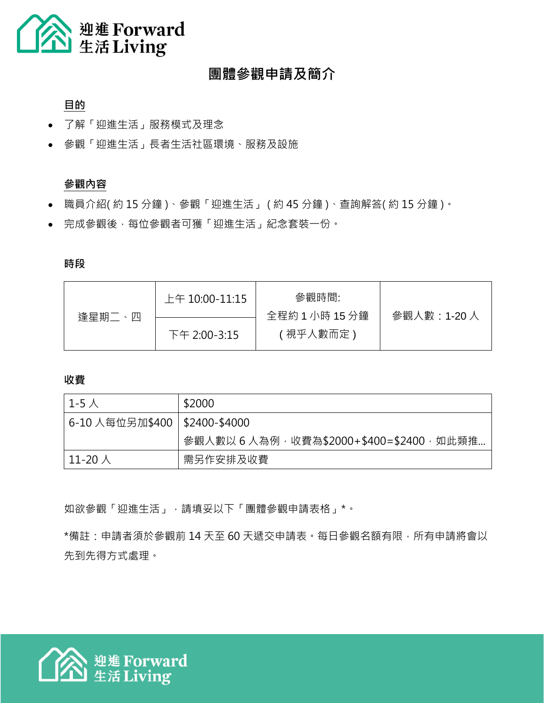

## **團體參觀申請及簡介**

## **目的**

- 了解「迎進生活」服務模式及理念
- 參觀「迎進生活」長者生活社區環境、服務及設施

### **參觀內容**

- 職員介紹(約15分鐘)、參觀「迎進生活」(約45分鐘)、查詢解答(約15分鐘)。
- 完成參觀後,每位參觀者可獲「迎進生活」紀念套裝一份。

#### **時段**

| 逢星期二、四 | 上午 10:00-11:15 | 參觀時間:                      |             |
|--------|----------------|----------------------------|-------------|
|        | 下午 2:00-3:15   | 全程約 1 小時 15 分鐘<br>「視乎人數而定」 | 參觀人數:1-20 人 |
|        |                |                            |             |

**收費**

| $1-5$ 人                         | \$2000                                  |
|---------------------------------|-----------------------------------------|
| 6-10 人每位另加\$400   \$2400-\$4000 |                                         |
|                                 | 參觀人數以 6 人為例,收費為\$2000+\$400=\$2400,如此類推 |
| $\perp$ 11-20 人                 | 需另作安排及收費                                |

如欲參觀「迎進生活」,請填妥以下「團體參觀申請表格」\*。

\*備註:申請者須於參觀前 14 天至 60 天遞交申請表。每日參觀名額有限,所有申請將會以 先到先得方式處理。

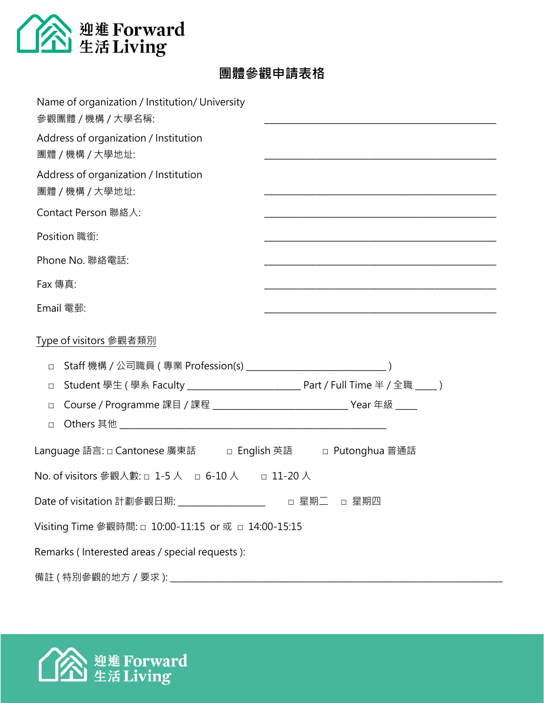

# **團體參觀申請表格**

| Name of organization / Institution/ University<br>參觀團體 / 機構 / 大學名稱: | <u> 1989 - Johann John Stein, mars an deus Frankrik (f. 1989)</u>                                                |
|---------------------------------------------------------------------|------------------------------------------------------------------------------------------------------------------|
| Address of organization / Institution<br>團體 / 機構 / 大學地址:            |                                                                                                                  |
| Address of organization / Institution<br>團體 / 機構 / 大學地址:            |                                                                                                                  |
| Contact Person 聯絡人:                                                 | and the control of the control of the control of the control of the control of the control of the control of the |
| Position 職銜:                                                        |                                                                                                                  |
| Phone No. 聯絡電話:                                                     |                                                                                                                  |
| Fax 傳真:                                                             |                                                                                                                  |
| Email 電郵:                                                           |                                                                                                                  |
| Type of visitors 參觀者類別                                              |                                                                                                                  |
| $\Box$                                                              |                                                                                                                  |
| $\Box$                                                              |                                                                                                                  |
| $\Box$                                                              |                                                                                                                  |
| $\Box$                                                              |                                                                                                                  |
| Language 語言: □ Cantonese 廣東話 □ English 英語 □ Putonghua 普通話           |                                                                                                                  |
| No. of visitors 參觀人數: □ 1-5 人 □ 6-10 人 □ 11-20 人                    |                                                                                                                  |
| Date of visitation 計劃參觀日期: __________________                       | □ 星期二<br>□ 星期四                                                                                                   |
| Visiting Time 參觀時間: □ 10:00-11:15 or 或 □ 14:00-15:15                |                                                                                                                  |
| Remarks (Interested areas / special requests):                      |                                                                                                                  |
| 備註 (特別參觀的地方 / 要求):                                                  |                                                                                                                  |